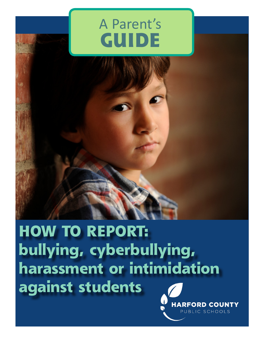# A Parent's **GUIDE**



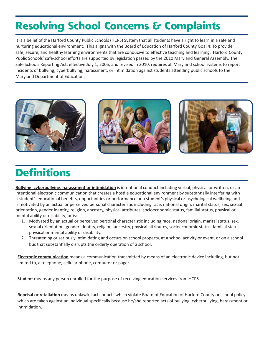# **Resolving School Concerns & Complaints**

It is a belief of the Harford County Public Schools (HCPS) System that all students have a right to learn in a safe and nurturing educational environment. This aligns with the Board of Education of Harford County Goal 4: To provide safe, secure, and healthy learning environments that are conducive to effective teaching and learning. Harford County Public Schools' safe-school efforts are supported by legislation passed by the 2010 Maryland General Assembly. The Safe Schools Reporting Act, effective July 1, 2005, and revised in 2010, requires all Maryland school systems to report incidents of bullying, cyberbullying, harassment, or intimidation against students attending public schools to the Maryland Department of Education.



# **Definitions**

**Bullying, cyberbullying, harassment or intimidation** is intentional conduct including verbal, physical or written, or an intentional electronic communication that creates a hostile educational environment by substantially interfering with a student's educational benefits, opportunities or performance or a student's physical or psychological wellbeing and is motivated by an actual or perceived personal characteristic including race, national origin, marital status, sex, sexual orientation, gender identity, religion, ancestry, physical attributes, socioeconomic status, familial status, physical or mental ability or disability; or is:

- 1. Motivated by an actual or perceived personal characteristic including race, national origin, marital status, sex, sexual orientation, gender identity, religion, ancestry, physical attributes, socioeconomic status, familial status, physical or mental ability or disability.
- 2. Threatening or seriously intimidating and occurs on school property, at a school activity or event, or on a school bus that substantially disrupts the orderly operation of a school.

**Electronic communication** means a communication transmitted by means of an electronic device including, but not limited to, a telephone, cellular phone, computer or pager.

**Student** means any person enrolled for the purpose of receiving education services from HCPS.

**Reprisal or retaliation** means unlawful acts or acts which violate Board of Education of Harford County or school policy which are taken against an individual specifically because he/she reported acts of bullying, cyberbullying, harassment or intimidation.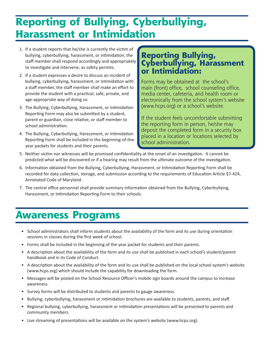# **Reporting of Bullying, Cyberbullying, Harassment or Intimidation**

- 1. If a student reports that he/she is currently the victim of bullying, cyberbullying, harassment, or intimidation, the staff member shall respond accordingly and appropriately to investigate and intervene, as safety permits.
- 2. If a student expresses a desire to discuss an incident of bullying, cyberbullying, harassment, or intimidation with a staff member, the staff member shall make an effort to provide the student with a practical, safe, private, and age-appropriate way of doing so.
- 3. The Bullying, Cyberbullying, Harassment, or Intimidation Reporting Form may also be submitted by a student, parent or guardian, close relative, or staff member to school administration.
- 4. The Bullying, Cyberbullying, Harassment, or Intimidation Reporting Form shall be included in the beginning-of-theyear packets for students and their parents.

#### **Reporting Bullying, Cyberbullying, Harassment or Intimidation:**

Forms may be obtained at the school's main (front) office, school counseling office, media center, cafeteria, and health room or electronically from the school system's website (www.hcps.org) or a school's website.

If the student feels uncomfortable submitting the reporting form in person, he/she may deposit the completed form in a security box placed in a location or locations selected by school administration.

- 5. Neither victim nor witnesses will be promised confidentiality at the onset of an investigation. It cannot be predicted what will be discovered or if a hearing may result from the ultimate outcome of the investigation.
- 6. Information obtained from the Bullying, Cyberbullying, Harassment, or Intimidation Reporting Form shall be recorded for data collection, storage, and submission according to the requirements of Education Article §7-424, Annotated Code of Maryland.
- 7. The central office personnel shall provide summary information obtained from the Bullying, Cyberbullying, Harassment, or Intimidation Reporting Form to their schools.

### **Awareness Programs**

- School administrators shall inform students about the availability of the form and its use during orientation sessions in classes during the first week of school.
- Forms shall be included in the beginning of the year packet for students and their parents.
- A description about the availability of the form and its use shall be published in each school's student/parent handbook and in its Code of Conduct.
- A description about the availability of the form and its use shall be published on the local school system's website (www.hcps.org) which should include the capability for downloading the form.
- Messages will be posted on the School Resource Officer's mobile sign boards around the campus to increase awareness.
- Survey forms will be distributed to students and parents to gauge awareness.
- Bullying, cyberbullying, harassment or intimidation brochures are available to students, parents, and staff.
- Regional bullying, cyberbullying, harassment or intimidation presentations will be presented to parents and community members.
- Live streaming of presentations will be available on the system's website (www.hcps.org).